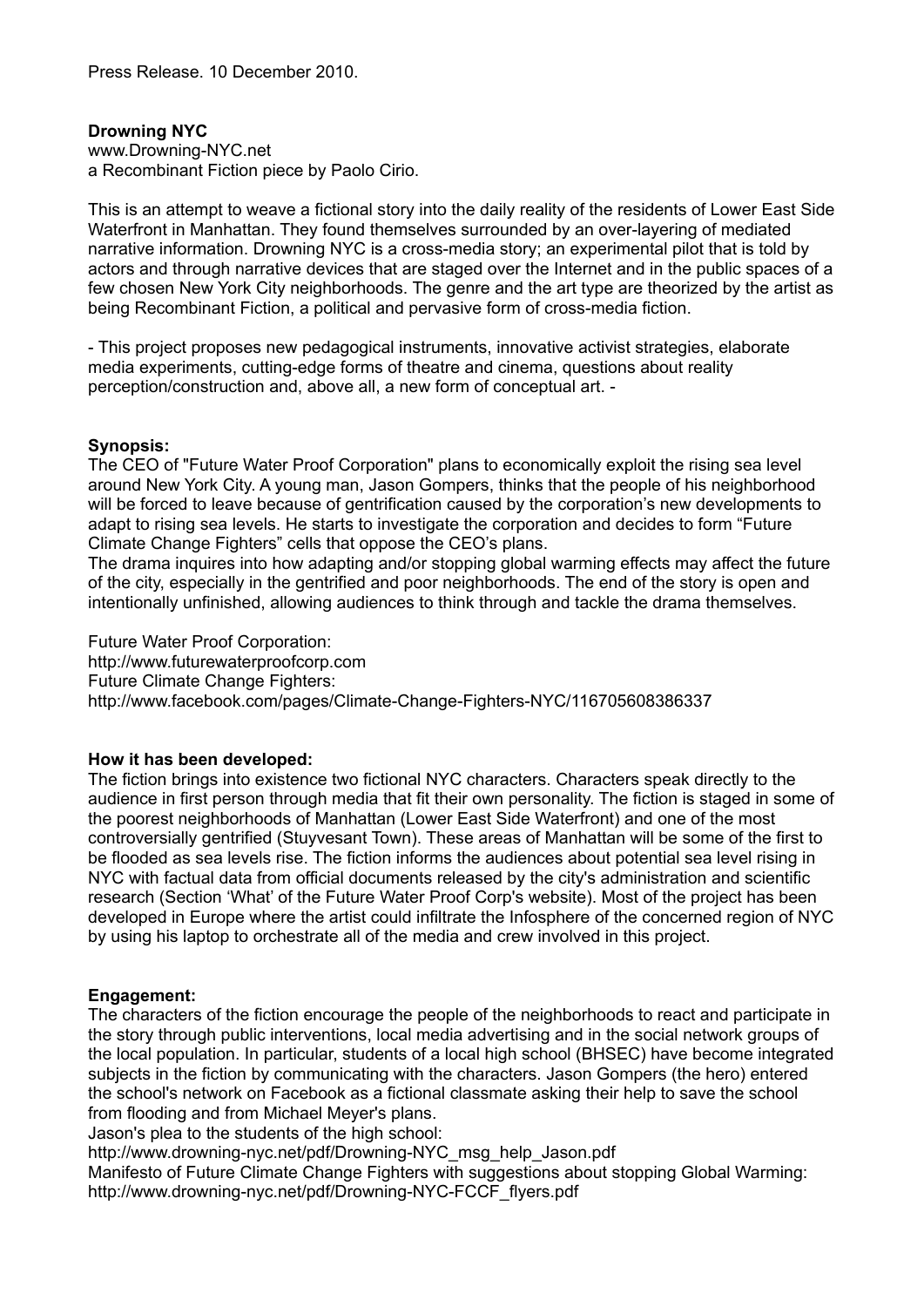# **Drowning NYC**

www.Drowning-NYC.net a Recombinant Fiction piece by Paolo Cirio.

This is an attempt to weave a fictional story into the daily reality of the residents of Lower East Side Waterfront in Manhattan. They found themselves surrounded by an over-layering of mediated narrative information. Drowning NYC is a cross-media story; an experimental pilot that is told by actors and through narrative devices that are staged over the Internet and in the public spaces of a few chosen New York City neighborhoods. The genre and the art type are theorized by the artist as being Recombinant Fiction, a political and pervasive form of cross-media fiction.

- This project proposes new pedagogical instruments, innovative activist strategies, elaborate media experiments, cutting-edge forms of theatre and cinema, questions about reality perception/construction and, above all, a new form of conceptual art. -

## **Synopsis:**

The CEO of "Future Water Proof Corporation" plans to economically exploit the rising sea level around New York City. A young man, Jason Gompers, thinks that the people of his neighborhood will be forced to leave because of gentrification caused by the corporation's new developments to adapt to rising sea levels. He starts to investigate the corporation and decides to form "Future Climate Change Fighters" cells that oppose the CEO's plans.

The drama inquires into how adapting and/or stopping global warming effects may affect the future of the city, especially in the gentrified and poor neighborhoods. The end of the story is open and intentionally unfinished, allowing audiences to think through and tackle the drama themselves.

Future Water Proof Corporation: http://www.futurewaterproofcorp.com Future Climate Change Fighters: http://www.facebook.com/pages/Climate-Change-Fighters-NYC/116705608386337

## **How it has been developed:**

The fiction brings into existence two fictional NYC characters. Characters speak directly to the audience in first person through media that fit their own personality. The fiction is staged in some of the poorest neighborhoods of Manhattan (Lower East Side Waterfront) and one of the most controversially gentrified (Stuyvesant Town). These areas of Manhattan will be some of the first to be flooded as sea levels rise. The fiction informs the audiences about potential sea level rising in NYC with factual data from official documents released by the city's administration and scientific research (Section 'What' of the Future Water Proof Corp's website). Most of the project has been developed in Europe where the artist could infiltrate the Infosphere of the concerned region of NYC by using his laptop to orchestrate all of the media and crew involved in this project.

## **Engagement:**

The characters of the fiction encourage the people of the neighborhoods to react and participate in the story through public interventions, local media advertising and in the social network groups of the local population. In particular, students of a local high school (BHSEC) have become integrated subjects in the fiction by communicating with the characters. Jason Gompers (the hero) entered the school's network on Facebook as a fictional classmate asking their help to save the school from flooding and from Michael Meyer's plans.

Jason's plea to the students of the high school:

http://www.drowning-nyc.net/pdf/Drowning-NYC\_msg\_help\_Jason.pdf

Manifesto of Future Climate Change Fighters with suggestions about stopping Global Warming: http://www.drowning-nyc.net/pdf/Drowning-NYC-FCCF\_flyers.pdf